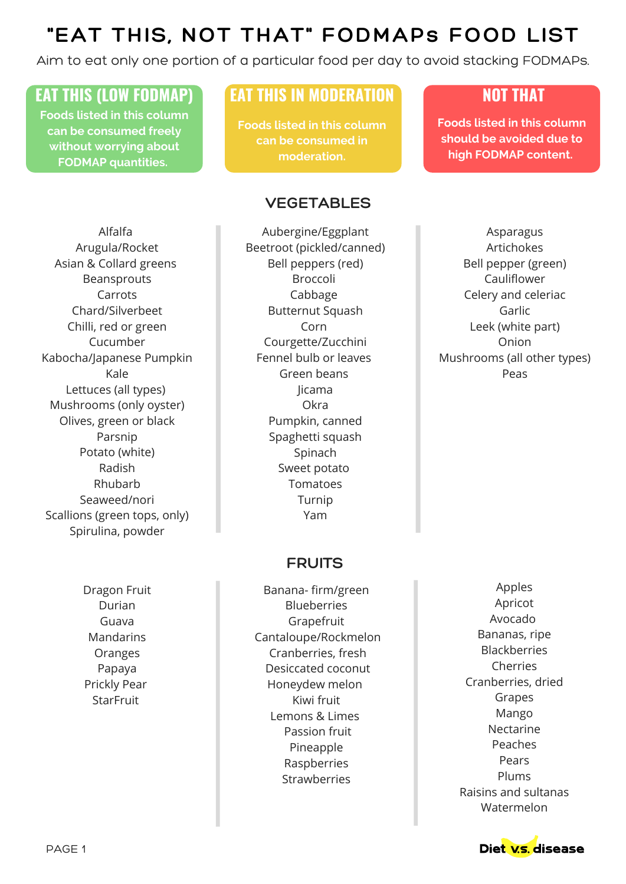Aim to eat only one portion of a particular food per day to avoid stacking FODMAPs.

## **EAT THIS (LOW FODMAP) EAT THIS IN MODERATION NOT THAT**

**Foods listed in this column can be consumed freely without worrying about FODMAP quantities.**

**Foods listed in this column can be consumed in moderation.**

### **VEGETABLES**

Alfalfa Arugula/Rocket Asian & Collard greens Beansprouts Carrots Chard/Silverbeet Chilli, red or green Cucumber Kabocha/Japanese Pumpkin Kale Lettuces (all types) Mushrooms (only oyster) Olives, green or black Parsnip Potato (white) Radish Rhubarb Seaweed/nori Scallions (green tops, only) Spirulina, powder

> Dragon Fruit Durian Guava Mandarins Oranges Papaya Prickly Pear **StarFruit**

Aubergine/Eggplant Beetroot (pickled/canned) Bell peppers (red) Broccoli Cabbage Butternut Squash Corn Courgette/Zucchini Fennel bulb or leaves Green beans Jicama Okra Pumpkin, canned Spaghetti squash Spinach Sweet potato Tomatoes Turnip Yam

### **FRUITS**

Banana- firm/green Blueberries Grapefruit Cantaloupe/Rockmelon Cranberries, fresh Desiccated coconut Honeydew melon Kiwi fruit Lemons & Limes Passion fruit Pineapple Raspberries **Strawberries** 

**Foods listed in this column should be avoided due to high FODMAP content.**

Asparagus Artichokes Bell pepper (green) Cauliflower Celery and celeriac Garlic Leek (white part) Onion Mushrooms (all other types) Peas

> Apples Apricot Avocado Bananas, ripe Blackberries Cherries Cranberries, dried Grapes Mango Nectarine Peaches Pears Plums Raisins and sultanas Watermelon

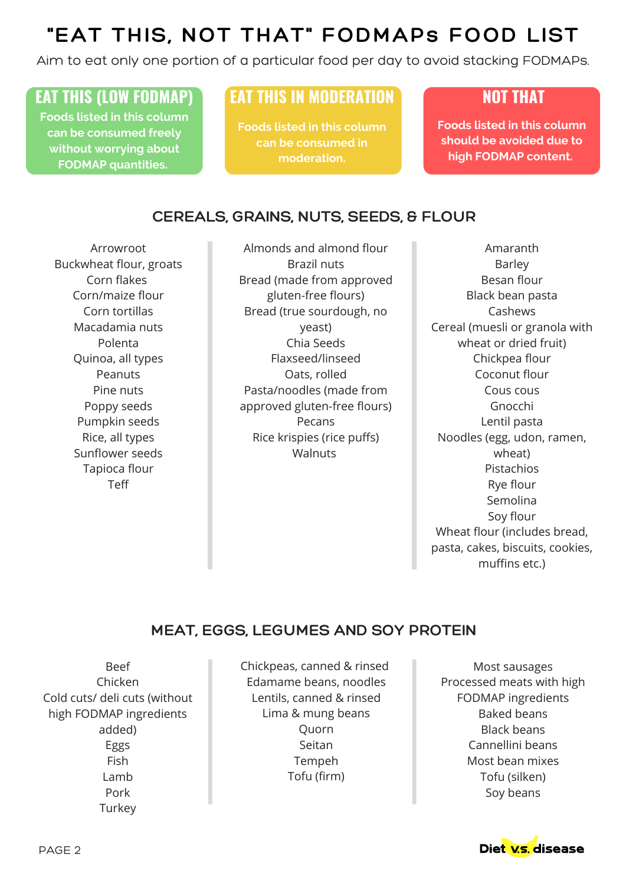Aim to eat only one portion of a particular food per day to avoid stacking FODMAPs.

**Foods listed in this column can be consumed freely without worrying about FODMAP quantities.**

## **EAT THIS (LOW FODMAP) EAT THIS IN MODERATION NOT THAT**

**Foods listed in this column can be consumed in moderation.**

**Foods listed in this column should be avoided due to high FODMAP content.**

### **CEREALS, GRAINS, NUTS, SEEDS, & FLOUR**

Corn tortillas CEREALS **TELEVISION** Arrowroot Buckwheat flour, groats Corn flakes Corn/maize flour Macadamia nuts Polenta Quinoa, all types Peanuts Pine nuts Poppy seeds Pumpkin seeds Rice, all types Sunflower seeds Tapioca flour Teff

Almonds and almond flour Brazil nuts Bread (made from approved gluten-free flours) Bread (true sourdough, no yeast) Chia Seeds Flaxseed/linseed Oats, rolled Pasta/noodles (made from approved gluten-free flours) Pecans Rice krispies (rice puffs) **Walnuts** 

Amaranth Barley Besan flour Black bean pasta Cashews Cereal (muesli or granola with wheat or dried fruit) Chickpea flour Coconut flour Cous cous Gnocchi Lentil pasta Noodles (egg, udon, ramen, wheat) Pistachios Rye flour Semolina Soy flour Wheat flour (includes bread, pasta, cakes, biscuits, cookies, muffins etc.)

### **MEAT, EGGS, LEGUMES AND SOY PROTEIN**

Beef Chicken Cold cuts/ deli cuts (without high FODMAP ingredients added) Eggs Fish Lamb Pork **Turkey** 

Chickpeas, canned & rinsed Edamame beans, noodles Lentils, canned & rinsed Lima & mung beans Quorn Seitan Tempeh Tofu (firm)

Most sausages Processed meats with high FODMAP ingredients Baked beans Black beans Cannellini beans Most bean mixes Tofu (silken) Soy beans

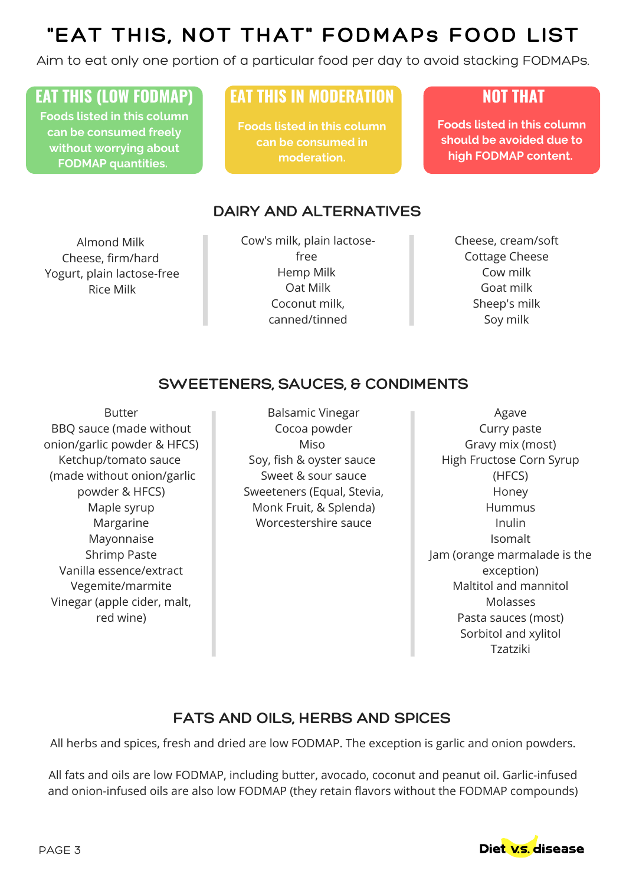Aim to eat only one portion of a particular food per day to avoid stacking FODMAPs.

## **EAT THIS (LOW FODMAP) EAT THIS IN MODERATION NOT THAT**

**Foods listed in this column can be consumed freely without worrying about FODMAP quantities.**

**Foods listed in this column can be consumed in moderation.**

### **DAIRY AND ALTERNATIVES**

Almond Milk Cheese, firm/hard Yogurt, plain lactose-free Rice Milk

Cow's milk, plain lactosefree Hemp Milk Oat Milk Coconut milk, canned/tinned

Cheese, cream/soft Cottage Cheese Cow milk Goat milk Sheep's milk Soy milk

**Foods listed in this column should be avoided due to high FODMAP content.**

### **SWEETENERS, SAUCES, & CONDIMENTS**

BBQ sauce (made without Vinegar (apple cider, malt, Butter onion/garlic powder & HFCS) Ketchup/tomato sauce (made without onion/garlic powder & HFCS) Maple syrup Margarine Mayonnaise Shrimp Paste Vanilla essence/extract Vegemite/marmite red wine)

Balsamic Vinegar Cocoa powder Miso Soy, fish & oyster sauce Sweet & sour sauce Sweeteners (Equal, Stevia, Monk Fruit, & Splenda) Worcestershire sauce

Agave Curry paste Gravy mix (most) High Fructose Corn Syrup (HFCS) Honey **Hummus** Inulin Isomalt Jam (orange marmalade is the exception) Maltitol and mannitol Molasses Pasta sauces (most) Sorbitol and xylitol Tzatziki

### **FATS AND OILS, HERBS AND SPICES**

All herbs and spices, fresh and dried are low FODMAP. The exception is garlic and onion powders.

All fats and oils are low FODMAP, including butter, avocado, coconut and peanut oil. Garlic-infused and onion-infused oils are also low FODMAP (they retain flavors without the FODMAP compounds)